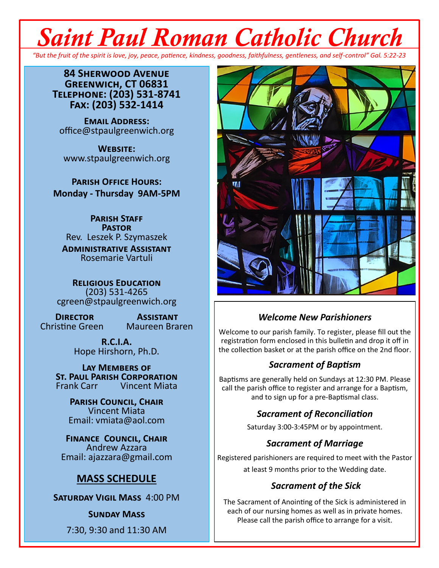# *Saint Paul Roman Catholic Church*

*"But the fruit of the spirit is love, joy, peace, patience, kindness, goodness, faithfulness, gentleness, and self-control" Gal. 5:22-23*

**84 Sherwood Avenue Greenwich, CT 06831 Telephone: (203) 531-8741 Fax: (203) 532-1414**

**Email Address:** office@stpaulgreenwich.org

**Website:** www.stpaulgreenwich.org

**Parish Office Hours: Monday - Thursday 9AM-5PM**

> **Parish Staff Pastor** Rev. Leszek P. Szymaszek

**Administrative Assistant** Rosemarie Vartuli

**Religious Education** (203) 531-4265 cgreen@stpaulgreenwich.org

Christine Green

**DIRECTOR ASSISTANT**<br>istine Green Maureen Braren

**R.C.I.A.** Hope Hirshorn, Ph.D.

**Lay Members of ST. PAUL PARISH CORPORATION**<br>Frank Carr **Vincent Miata Vincent Miata** 

> **Parish Council, Chair** Vincent Miata Email: vmiata@aol.com

**Finance Council, Chair** Andrew Azzara Email: ajazzara@gmail.com

#### **MASS SCHEDULE**

**Saturday Vigil Mass** 4:00 PM

**Sunday Mass**

7:30, 9:30 and 11:30 AM



#### *Welcome New Parishioners*

Welcome to our parish family. To register, please fill out the registration form enclosed in this bulletin and drop it off in the collection basket or at the parish office on the 2nd floor.

#### *Sacrament of Baptism*

Baptisms are generally held on Sundays at 12:30 PM. Please call the parish office to register and arrange for a Baptism, and to sign up for a pre-Baptismal class.

#### *Sacrament of Reconciliation*

Saturday 3:00-3:45PM or by appointment.

#### *Sacrament of Marriage*

Registered parishioners are required to meet with the Pastor at least 9 months prior to the Wedding date.

#### *Sacrament of the Sick*

The Sacrament of Anointing of the Sick is administered in each of our nursing homes as well as in private homes. Please call the parish office to arrange for a visit.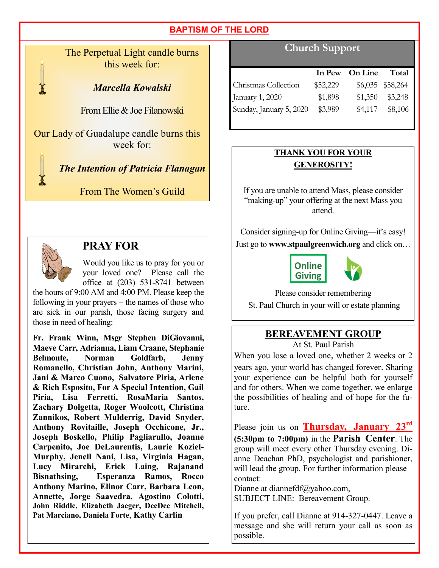The Perpetual Light candle burns this week for:

#### *Marcella Kowalski*

From Ellie & Joe Filanowski

Our Lady of Guadalupe candle burns this week for:



*The Intention of Patricia Flanagan*

From The Women's Guild



#### **PRAY FOR**

Would you like us to pray for you or your loved one? Please call the office at (203) 531-8741 between

the hours of 9:00 AM and 4:00 PM. Please keep the following in your prayers – the names of those who are sick in our parish, those facing surgery and those in need of healing:

**Fr. Frank Winn, Msgr Stephen DiGiovanni, Maeve Carr, Adrianna, Liam Craane, Stephanie Belmonte, Norman Goldfarb, Jenny Romanello, Christian John, Anthony Marini, Jani & Marco Cuono, Salvatore Piria, Arlene & Rich Esposito, For A Special Intention, Gail Piria, Lisa Ferretti, RosaMaria Santos, Zachary Dolgetta, Roger Woolcott, Christina Zannikos, Robert Mulderrig, David Snyder, Anthony Rovitaille, Joseph Occhicone, Jr., Joseph Boskello, Philip Pagliarullo, Joanne Carpenito, Joe DeLaurentis, Laurie Koziel-Murphy, Jenell Nani, Lisa, Virginia Hagan, Lucy Mirarchi, Erick Laing, Rajanand Bisnathsing, Esperanza Ramos, Rocco Anthony Marino, Elinor Carr, Barbara Leon, Annette, Jorge Saavedra, Agostino Colotti, John Riddle, Elizabeth Jaeger, DeeDee Mitchell, Pat Marciano, Daniela Forte**, **Kathy Carlin**

### **Church Support**

|                         |          | In Pew On Line | Total            |
|-------------------------|----------|----------------|------------------|
| Christmas Collection    | \$52,229 |                | \$6,035 \$58,264 |
| January 1, 2020         | \$1,898  | \$1,350        | \$3,248          |
| Sunday, January 5, 2020 | \$3,989  | \$4,117        | \$8,106          |

#### **THANK YOU FOR YOUR GENEROSITY!**

If you are unable to attend Mass, please consider "making-up" your offering at the next Mass you attend.

Consider signing-up for Online Giving—it's easy! Just go to **www.stpaulgreenwich.org** and click on…



Please consider remembering

St. Paul Church in your will or estate planning

# **BEREAVEMENT GROUP**

At St. Paul Parish

When you lose a loved one, whether 2 weeks or 2 years ago, your world has changed forever. Sharing your experience can be helpful both for yourself and for others. When we come together, we enlarge the possibilities of healing and of hope for the future.

Please join us on **Thursday, January 23rd (5:30pm to 7:00pm)** in the **Parish Center**. The group will meet every other Thursday evening. Dianne Deachan PhD, psychologist and parishioner, will lead the group. For further information please contact:

Dianne at diannefdf@yahoo.com, SUBJECT LINE: Bereavement Group.

If you prefer, call Dianne at 914-327-0447. Leave a message and she will return your call as soon as possible.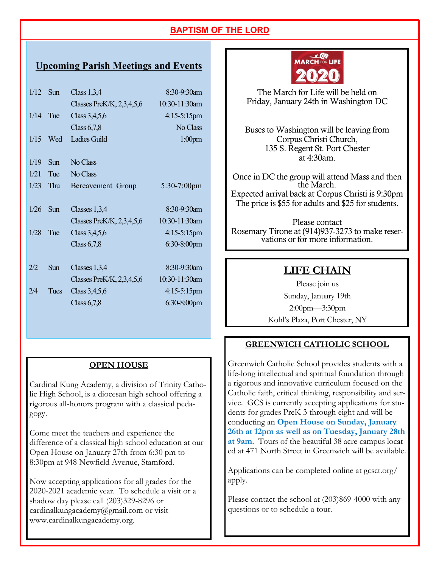#### **Upcoming Parish Meetings and Events**

| 1/12 | Sun             | Class $1,3,4$               | 8:30-9:30am    |
|------|-----------------|-----------------------------|----------------|
|      |                 | Classes PreK/K, $2,3,4,5,6$ | 10:30-11:30am  |
| 1/14 | Tue             | Class $3,4,5,6$             | 4:15-5:15pm    |
|      |                 | Class $6,7,8$               | No Class       |
| 1/15 | Wed             | <b>Ladies Guild</b>         | $1:00$ pm      |
|      |                 |                             |                |
| 1/19 | S <sub>un</sub> | No Class                    |                |
| 1/21 | Tue             | No Class                    |                |
| 1/23 | Thu             | Bereavement Group           | $5:30-7:00$ pm |
|      |                 |                             |                |
| 1/26 | Sun             | Classes $1,3,4$             | $8:30-9:30$ am |
|      |                 | Classes PreK/K, $2,3,4,5,6$ | 10:30-11:30am  |
| 1/28 | Tue             | Class $3,4,5,6$             | $4:15-5:15$ pm |
|      |                 | Class $6,7,8$               | $6:30-8:00$ pm |
|      |                 |                             |                |
| 2/2  | Sun             | Classes $1,3,4$             | 8:30-9:30am    |
|      |                 | Classes PreK/K, $2,3,4,5,6$ | 10:30-11:30am  |
| 2/4  | Tues            | Class $3,4,5,6$             | $4:15-5:15$ pm |
|      |                 | Class $6,7,8$               | 6:30-8:00pm    |
|      |                 |                             |                |

#### **OPEN HOUSE**

Cardinal Kung Academy, a division of Trinity Catholic High School, is a diocesan high school offering a rigorous all-honors program with a classical pedagogy.

Come meet the teachers and experience the difference of a classical high school education at our Open House on January 27th from 6:30 pm to 8:30pm at 948 Newfield Avenue, Stamford.

Now accepting applications for all grades for the 2020-2021 academic year. To schedule a visit or a shadow day please call (203)329-8296 or cardinalkungacademy@gmail.com or visit www.cardinalkungacademy.org.



The March for Life will be held on Friday, January 24th in Washington DC

Buses to Washington will be leaving from Corpus Christi Church, 135 S. Regent St. Port Chester at 4:30am.

Once in DC the group will attend Mass and then the March. Expected arrival back at Corpus Christi is 9:30pm The price is \$55 for adults and \$25 for students.

Please contact Rosemary Tirone at (914)937-3273 to make reservations or for more information.

#### **LIFE CHAIN**

Please join us Sunday, January 19th 2:00pm—3:30pm Kohl's Plaza, Port Chester, NY

#### **GREENWICH CATHOLIC SCHOOL**

Greenwich Catholic School provides students with a life-long intellectual and spiritual foundation through a rigorous and innovative curriculum focused on the Catholic faith, critical thinking, responsibility and service. GCS is currently accepting applications for students for grades PreK 3 through eight and will be conducting an **Open House on Sunday, January 26th at 12pm as well as on Tuesday, January 28th at 9am**. Tours of the beautiful 38 acre campus located at 471 North Street in Greenwich will be available.

Applications can be completed online at gcsct.org/ apply.

Please contact the school at (203)869-4000 with any questions or to schedule a tour.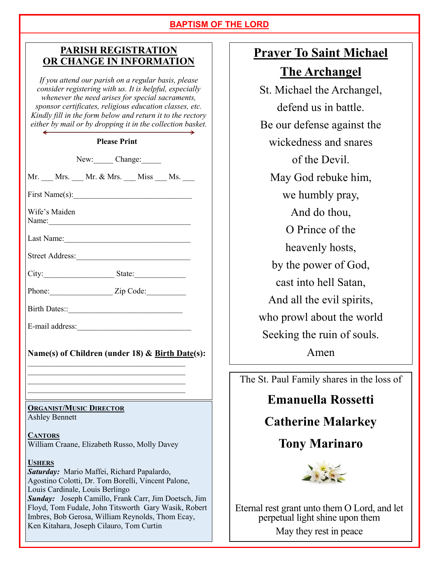#### **PARISH REGISTRATION OR CHANGE IN INFORMATION**

*If you attend our parish on a regular basis, please consider registering with us. It is helpful, especially whenever the need arises for special sacraments, sponsor certificates, religious education classes, etc. Kindly fill in the form below and return it to the rectory either by mail or by dropping it in the collection basket.*

#### **Please Print**

New: Change:

Mr. Mrs.  $Mr.$  & Mrs. Miss Ms.

First Name $(s)$ :

Wife's Maiden Name:

Last Name:

Street Address:

City:\_\_\_\_\_\_\_\_\_\_\_\_\_\_\_\_\_\_ State:\_\_\_\_\_\_\_\_\_\_\_\_\_

Phone:\_\_\_\_\_\_\_\_\_\_\_\_\_\_\_\_ Zip Code:\_\_\_\_\_\_\_\_\_\_

Birth Dates::

E-mail address:

#### **Name(s) of Children (under 18) & Birth Date(s):**

 $\mathcal{L}_\text{max}$  $\mathcal{L}_\text{max}$  $\mathcal{L}_\text{max}$  , where  $\mathcal{L}_\text{max}$  and  $\mathcal{L}_\text{max}$  and  $\mathcal{L}_\text{max}$  $\mathcal{L}_\text{max}$ 

# **ORGANIST/MUSIC DIRECTOR**

Ashley Bennett

**CANTORS** William Craane, Elizabeth Russo, Molly Davey

#### **USHERS**

*Saturday:* Mario Maffei, Richard Papalardo, Agostino Colotti, Dr. Tom Borelli, Vincent Palone, Louis Cardinale, Louis Berlingo *Sunday:* Joseph Camillo, Frank Carr, Jim Doetsch, Jim Floyd, Tom Fudale, John Titsworth Gary Wasik, Robert Imbres, Bob Gerosa, William Reynolds, Thom Ecay, Ken Kitahara, Joseph Cilauro, Tom Curtin

# **Prayer To Saint Michael**

**The Archangel**

St. Michael the Archangel, defend us in battle. Be our defense against the wickedness and snares of the Devil. May God rebuke him, we humbly pray, And do thou, O Prince of the heavenly hosts, by the power of God, cast into hell Satan, And all the evil spirits, who prowl about the world Seeking the ruin of souls. Amen

The St. Paul Family shares in the loss of

# **Emanuella Rossetti**

# **Catherine Malarkey**

# **Tony Marinaro**



Eternal rest grant unto them O Lord, and let perpetual light shine upon them May they rest in peace